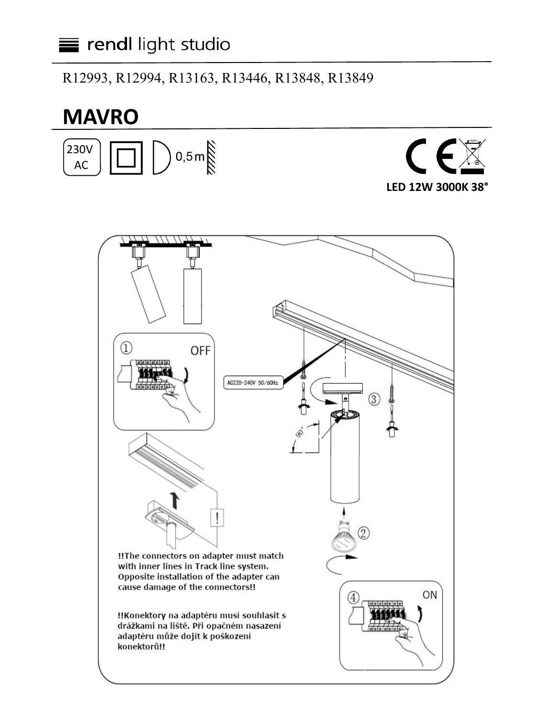**MAVRO** 

R12993, R12994, R13163, R13446, R13848, R13849

# $0,5$  m **230V**  $\sqrt{2}$ **AC** LED 12W 3000K 38°  $\Omega$ **OFF** AC220-240V 50/60Hz  $\circledS$  $\widehat{2}$ !!The connectors on adapter must match with inner lines in Track line system. Opposite installation of the adapter can cause damage of the connectors!! ON  $\overline{4}$ !! Konektory na adaptéru musí souhlasit s drážkami na liště. Při opačném nasazení adaptéru může dojít k poškození konektorů!!